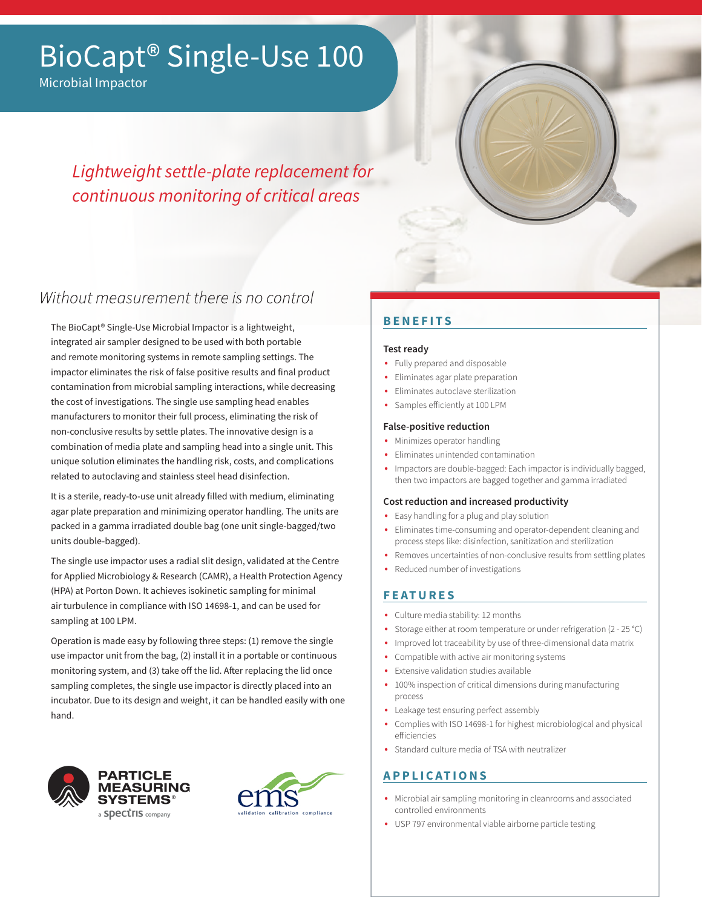# BioCapt® Single-Use 100

Microbial Impactor

# *Lightweight settle-plate replacement for continuous monitoring of critical areas*



# Without measurement there is no control

The BioCapt® Single-Use Microbial Impactor is a lightweight, integrated air sampler designed to be used with both portable and remote monitoring systems in remote sampling settings. The impactor eliminates the risk of false positive results and final product contamination from microbial sampling interactions, while decreasing the cost of investigations. The single use sampling head enables manufacturers to monitor their full process, eliminating the risk of non-conclusive results by settle plates. The innovative design is a combination of media plate and sampling head into a single unit. This unique solution eliminates the handling risk, costs, and complications related to autoclaving and stainless steel head disinfection.

It is a sterile, ready-to-use unit already filled with medium, eliminating agar plate preparation and minimizing operator handling. The units are packed in a gamma irradiated double bag (one unit single-bagged/two units double-bagged).

The single use impactor uses a radial slit design, validated at the Centre for Applied Microbiology & Research (CAMR), a Health Protection Agency (HPA) at Porton Down. It achieves isokinetic sampling for minimal air turbulence in compliance with ISO 14698-1, and can be used for sampling at 100 LPM.

Operation is made easy by following three steps: (1) remove the single use impactor unit from the bag, (2) install it in a portable or continuous monitoring system, and (3) take off the lid. After replacing the lid once sampling completes, the single use impactor is directly placed into an incubator. Due to its design and weight, it can be handled easily with one hand.





# **BENEFITS**

### **Test ready**

- Fully prepared and disposable
- Eliminates agar plate preparation
- Eliminates autoclave sterilization
- Samples efficiently at 100 LPM

### **False-positive reduction**

- Minimizes operator handling
- Eliminates unintended contamination
- Impactors are double-bagged: Each impactor is individually bagged, then two impactors are bagged together and gamma irradiated

### **Cost reduction and increased productivity**

- Easy handling for a plug and play solution
- Eliminates time-consuming and operator-dependent cleaning and process steps like: disinfection, sanitization and sterilization
- Removes uncertainties of non-conclusive results from settling plates
- Reduced number of investigations

## **FEATURES**

- Culture media stability: 12 months
- Storage either at room temperature or under refrigeration (2 25 °C)
- Improved lot traceability by use of three-dimensional data matrix
- Compatible with active air monitoring systems
- Extensive validation studies available
- 100% inspection of critical dimensions during manufacturing process
- Leakage test ensuring perfect assembly
- Complies with ISO 14698-1 for highest microbiological and physical efficiencies
- Standard culture media of TSA with neutralizer

## **APPLICATIONS**

- Microbial air sampling monitoring in cleanrooms and associated controlled environments
- USP 797 environmental viable airborne particle testing